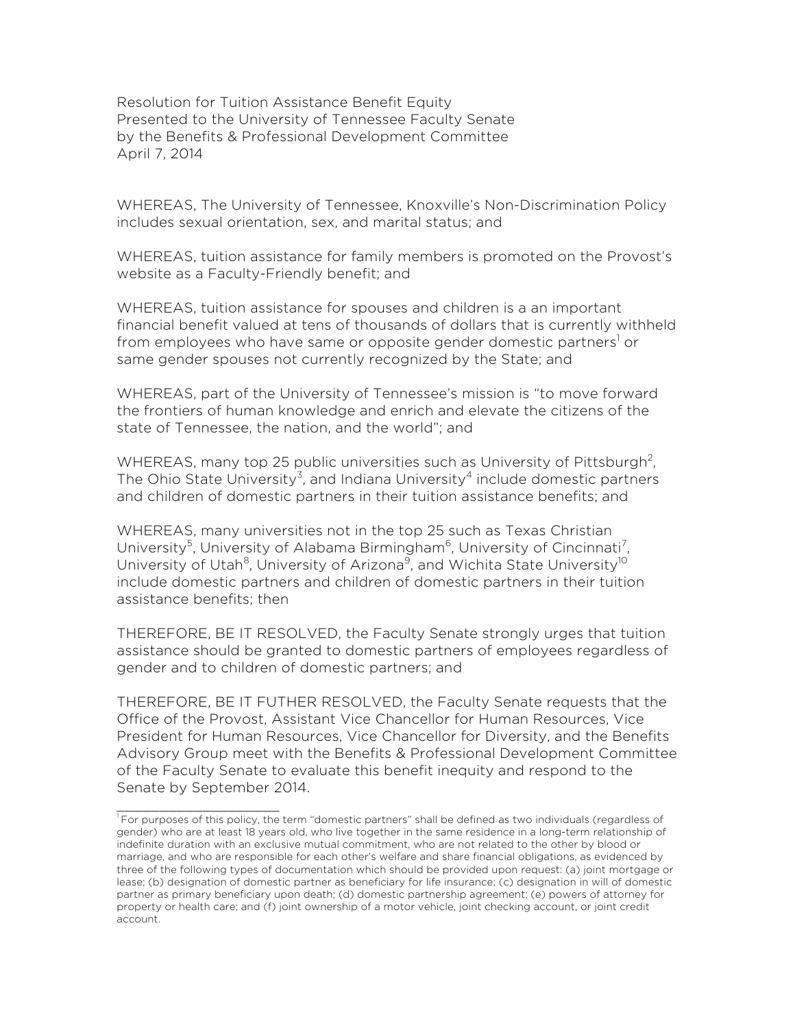Resolution for Tuition Assistance Benefit Equity Presented to the University of Tennessee Faculty Senate by the Benefits & Professional Development Committee April 7, 2014

WHEREAS, The University of Tennessee, Knoxville's Non-Discrimination Policy includes sexual orientation, sex, and marital status; and

WHEREAS, tuition assistance for family members is promoted on the Provost's website as a Faculty-Friendly benefit; and

WHEREAS, tuition assistance for spouses and children is a an important financial benefit valued at tens of thousands of dollars that is currently withheld from employees who have same or opposite gender domestic partners<sup>1</sup> or same gender spouses not currently recognized by the State; and

WHEREAS, part of the University of Tennessee's mission is "to move forward the frontiers of human knowledge and enrich and elevate the citizens of the state of Tennessee, the nation, and the world"; and

WHEREAS, many top 25 public universities such as University of Pittsburgh<sup>2</sup>, The Ohio State University<sup>3</sup>, and Indiana University<sup>4</sup> include domestic partners and children of domestic partners in their tuition assistance benefits; and

WHEREAS, many universities not in the top 25 such as Texas Christian University<sup>5</sup>, University of Alabama Birmingham<sup>6</sup>, University of Cincinnati<sup>7</sup>, University of Utah<sup>8</sup>, University of Arizona<sup>9</sup>, and Wichita State University<sup>10</sup> include domestic partners and children of domestic partners in their tuition assistance benefits; then

THEREFORE, BE IT RESOLVED, the Faculty Senate strongly urges that tuition assistance should be granted to domestic partners of employees regardless of gender and to children of domestic partners; and

THEREFORE, BE IT FUTHER RESOLVED, the Faculty Senate requests that the Office of the Provost, Assistant Vice Chancellor for Human Resources, Vice President for Human Resources, Vice Chancellor for Diversity, and the Benefits Advisory Group meet with the Benefits & Professional Development Committee of the Faculty Senate to evaluate this benefit inequity and respond to the Senate by September 2014.

\_\_\_\_\_\_\_\_\_\_\_\_\_\_\_\_\_\_\_

<sup>&</sup>lt;sup>1</sup> For purposes of this policy, the term "domestic partners" shall be defined as two individuals (regardless of gender) who are at least 18 years old, who live together in the same residence in a long-term relationship of indefinite duration with an exclusive mutual commitment, who are not related to the other by blood or marriage, and who are responsible for each other's welfare and share financial obligations, as evidenced by three of the following types of documentation which should be provided upon request: (a) joint mortgage or lease; (b) designation of domestic partner as beneficiary for life insurance; (c) designation in will of domestic partner as primary beneficiary upon death; (d) domestic partnership agreement; (e) powers of attorney for property or health care; and (f) joint ownership of a motor vehicle, joint checking account, or joint credit account.